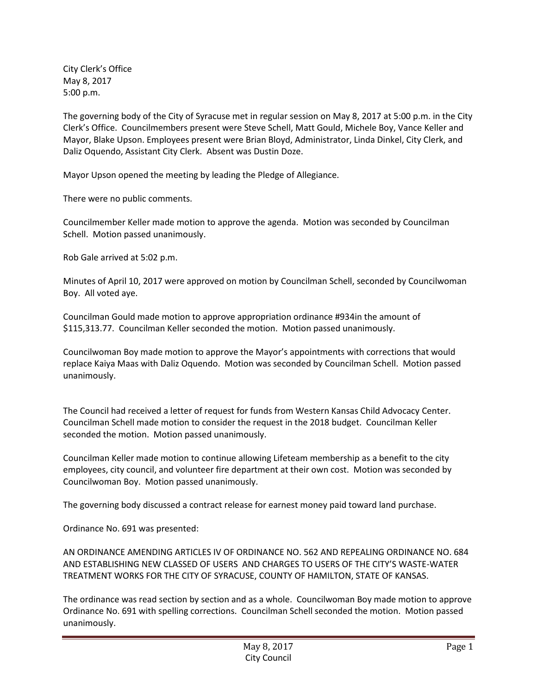City Clerk's Office May 8, 2017 5:00 p.m.

The governing body of the City of Syracuse met in regular session on May 8, 2017 at 5:00 p.m. in the City Clerk's Office. Councilmembers present were Steve Schell, Matt Gould, Michele Boy, Vance Keller and Mayor, Blake Upson. Employees present were Brian Bloyd, Administrator, Linda Dinkel, City Clerk, and Daliz Oquendo, Assistant City Clerk. Absent was Dustin Doze.

Mayor Upson opened the meeting by leading the Pledge of Allegiance.

There were no public comments.

Councilmember Keller made motion to approve the agenda. Motion was seconded by Councilman Schell. Motion passed unanimously.

Rob Gale arrived at 5:02 p.m.

Minutes of April 10, 2017 were approved on motion by Councilman Schell, seconded by Councilwoman Boy. All voted aye.

Councilman Gould made motion to approve appropriation ordinance #934in the amount of \$115,313.77. Councilman Keller seconded the motion. Motion passed unanimously.

Councilwoman Boy made motion to approve the Mayor's appointments with corrections that would replace Kaiya Maas with Daliz Oquendo. Motion was seconded by Councilman Schell. Motion passed unanimously.

The Council had received a letter of request for funds from Western Kansas Child Advocacy Center. Councilman Schell made motion to consider the request in the 2018 budget. Councilman Keller seconded the motion. Motion passed unanimously.

Councilman Keller made motion to continue allowing Lifeteam membership as a benefit to the city employees, city council, and volunteer fire department at their own cost. Motion was seconded by Councilwoman Boy. Motion passed unanimously.

The governing body discussed a contract release for earnest money paid toward land purchase.

Ordinance No. 691 was presented:

AN ORDINANCE AMENDING ARTICLES IV OF ORDINANCE NO. 562 AND REPEALING ORDINANCE NO. 684 AND ESTABLISHING NEW CLASSED OF USERS AND CHARGES TO USERS OF THE CITY'S WASTE-WATER TREATMENT WORKS FOR THE CITY OF SYRACUSE, COUNTY OF HAMILTON, STATE OF KANSAS.

The ordinance was read section by section and as a whole. Councilwoman Boy made motion to approve Ordinance No. 691 with spelling corrections. Councilman Schell seconded the motion. Motion passed unanimously.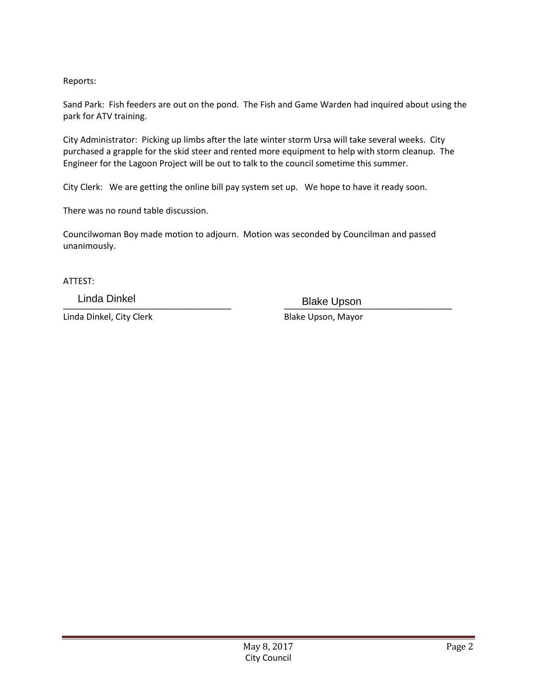Reports:

Sand Park: Fish feeders are out on the pond. The Fish and Game Warden had inquired about using the park for ATV training.

City Administrator: Picking up limbs after the late winter storm Ursa will take several weeks. City purchased a grapple for the skid steer and rented more equipment to help with storm cleanup. The Engineer for the Lagoon Project will be out to talk to the council sometime this summer.

City Clerk: We are getting the online bill pay system set up. We hope to have it ready soon.

There was no round table discussion.

Councilwoman Boy made motion to adjourn. Motion was seconded by Councilman and passed unanimously.

ATTEST:

Linda Dinkel, City Clerk Blake Upson, Mayor

\_\_\_\_\_\_\_\_\_\_\_\_\_\_\_\_\_\_\_\_\_\_\_\_\_\_\_\_\_\_\_\_\_\_\_ \_\_\_\_\_\_\_\_\_\_\_\_\_\_\_\_\_\_\_\_\_\_\_\_\_\_\_\_\_\_\_\_\_\_\_ Linda Dinkel **Blake Upson**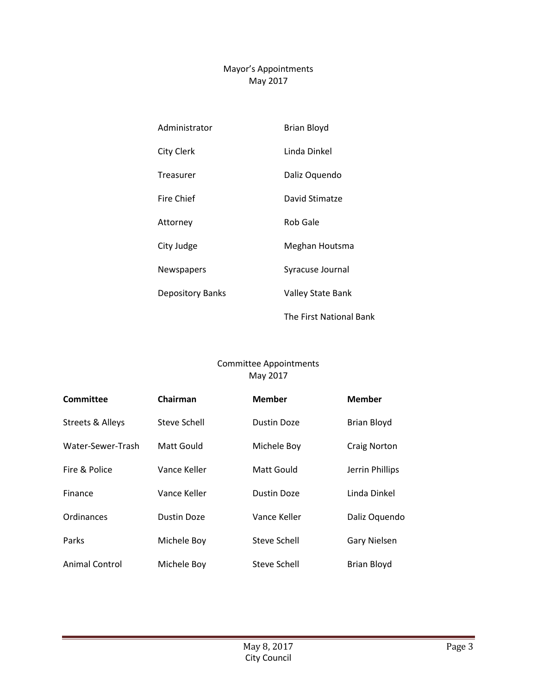## Mayor's Appointments May 2017

| Administrator           | <b>Brian Bloyd</b>      |
|-------------------------|-------------------------|
| <b>City Clerk</b>       | Linda Dinkel            |
| Treasurer               | Daliz Oquendo           |
| <b>Fire Chief</b>       | David Stimatze          |
| Attorney                | <b>Rob Gale</b>         |
| City Judge              | Meghan Houtsma          |
| Newspapers              | Syracuse Journal        |
| <b>Depository Banks</b> | Valley State Bank       |
|                         | The First National Bank |

## Committee Appointments May 2017

| Committee             | Chairman     | <b>Member</b>      | <b>Member</b>      |
|-----------------------|--------------|--------------------|--------------------|
| Streets & Alleys      | Steve Schell | Dustin Doze        | Brian Bloyd        |
| Water-Sewer-Trash     | Matt Gould   | Michele Boy        | Craig Norton       |
| Fire & Police         | Vance Keller | Matt Gould         | Jerrin Phillips    |
| Finance               | Vance Keller | <b>Dustin Doze</b> | Linda Dinkel       |
| Ordinances            | Dustin Doze  | Vance Keller       | Daliz Oquendo      |
| Parks                 | Michele Boy  | Steve Schell       | Gary Nielsen       |
| <b>Animal Control</b> | Michele Boy  | Steve Schell       | <b>Brian Bloyd</b> |